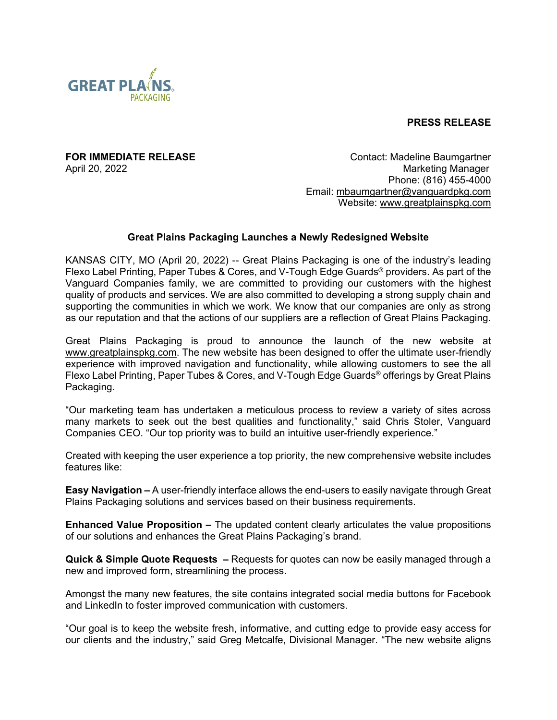

**PRESS RELEASE**

**FOR IMMEDIATE RELEASE CONTACT SERVICES CONTACT CONTACT:** Madeline Baumgartner April 20, 2022 **Marketing Manager** Marketing Manager Marketing Manager Phone: (816) 455-4000 Email: [mbaumgartner@vanguardpkg.com](mailto:mbaumgartner@vanguardpkg.com) Website: [www.greatplainspkg.com](http://www.greatplainspkg.com/)

## **Great Plains Packaging Launches a Newly Redesigned Website**

KANSAS CITY, MO (April 20, 2022) -- Great Plains Packaging is one of the industry's leading Flexo Label Printing, Paper Tubes & Cores, and V-Tough Edge Guards® providers. As part of the Vanguard Companies family, we are committed to providing our customers with the highest quality of products and services. We are also committed to developing a strong supply chain and supporting the communities in which we work. We know that our companies are only as strong as our reputation and that the actions of our suppliers are a reflection of Great Plains Packaging.

Great Plains Packaging is proud to announce the launch of the new website at [www.greatplainspkg.com.](http://www.greatplainspkg.com/) The new website has been designed to offer the ultimate user-friendly experience with improved navigation and functionality, while allowing customers to see the all Flexo Label Printing, Paper Tubes & Cores, and V-Tough Edge Guards<sup>®</sup> offerings by Great Plains Packaging.

"Our marketing team has undertaken a meticulous process to review a variety of sites across many markets to seek out the best qualities and functionality," said Chris Stoler, Vanguard Companies CEO. "Our top priority was to build an intuitive user-friendly experience."

Created with keeping the user experience a top priority, the new comprehensive website includes features like:

**Easy Navigation –** A user-friendly interface allows the end-users to easily navigate through Great Plains Packaging solutions and services based on their business requirements.

**Enhanced Value Proposition –** The updated content clearly articulates the value propositions of our solutions and enhances the Great Plains Packaging's brand.

**Quick & Simple Quote Requests –** Requests for quotes can now be easily managed through a new and improved form, streamlining the process.

Amongst the many new features, the site contains integrated social media buttons for Facebook and LinkedIn to foster improved communication with customers.

"Our goal is to keep the website fresh, informative, and cutting edge to provide easy access for our clients and the industry," said Greg Metcalfe, Divisional Manager. "The new website aligns